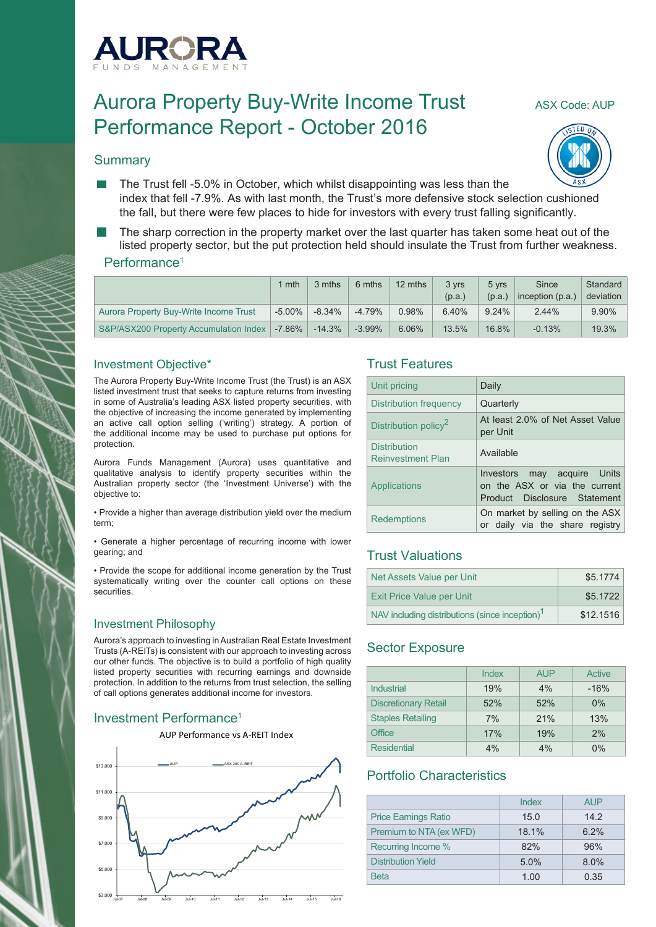

# Aurora Property Buy-Write Income Trust ASX Code: AUP Performance Report - October 2016

## **Summary**



- The Trust fell -5.0% in October, which whilst disappointing was less than the index that fell -7.9%. As with last month, the Trust's more defensive stock selection cushioned the fall, but there were few places to hide for investors with every trust falling significantly.
- The sharp correction in the property market over the last quarter has taken some heat out of the listed property sector, but the put protection held should insulate the Trust from further weakness.

#### Performance<sup>1</sup>

|                                        | l mth     | 3 mths   | 6 mths    | 12 mths | 3 vrs  | 5 vrs    | Since              | Standard  |
|----------------------------------------|-----------|----------|-----------|---------|--------|----------|--------------------|-----------|
|                                        |           |          |           |         | (p.a.) | (p.a.)   | inception $(p.a.)$ | deviation |
| Aurora Property Buy-Write Income Trust | $-5.00\%$ | $-8.34%$ | $-4.79%$  | 0.98%   | 6.40%  | $9.24\%$ | 2.44%              | 9.90%     |
| S&P/ASX200 Property Accumulation Index | $-7.86\%$ | $-14.3%$ | $-3.99\%$ | 6.06%   | 13.5%  | 16.8%    | $-0.13%$           | 19.3%     |

#### Investment Objective\*

The Aurora Property Buy-Write Income Trust (the Trust) is an ASX listed investment trust that seeks to capture returns from investing in some of Australia's leading ASX listed property securities, with the objective of increasing the income generated by implementing an active call option selling ('writing') strategy. A portion of the additional income may be used to purchase put options for protection.

Aurora Funds Management (Aurora) uses quantitative and qualitative analysis to identify property securities within the Australian property sector (the 'Investment Universe') with the objective to:

• Provide a higher than average distribution yield over the medium term;

• Generate a higher percentage of recurring income with lower gearing; and

• Provide the scope for additional income generation by the Trust systematically writing over the counter call options on these securities.

#### Investment Philosophy

Aurora's approach to investing in Australian Real Estate Investment Trusts (A-REITs) is consistent with our approach to investing across our other funds. The objective is to build a portfolio of high quality listed property securities with recurring earnings and downside protection. In addition to the returns from trust selection, the selling of call options generates additional income for investors.

## Investment Performance<sup>1</sup>



#### Trust Features

| Unit pricing                                    | Daily                                                                                        |
|-------------------------------------------------|----------------------------------------------------------------------------------------------|
| Distribution frequency                          | Quarterly                                                                                    |
| Distribution policy <sup>2</sup>                | At least 2.0% of Net Asset Value<br>per Unit                                                 |
| <b>Distribution</b><br><b>Reinvestment Plan</b> | Available                                                                                    |
| Applications                                    | Investors may acquire Units<br>on the ASX or via the current<br>Product Disclosure Statement |
| <b>Redemptions</b>                              | On market by selling on the ASX<br>or daily via the share registry                           |

## Trust Valuations

| Net Assets Value per Unit                                  | \$5.1774  |
|------------------------------------------------------------|-----------|
| <b>Exit Price Value per Unit</b>                           | \$5.1722  |
| NAV including distributions (since inception) <sup>1</sup> | \$12,1516 |

## Sector Exposure

|                             | Index | <b>AUP</b> | Active |
|-----------------------------|-------|------------|--------|
| Industrial                  | 19%   | 4%         | $-16%$ |
| <b>Discretionary Retail</b> | 52%   | 52%        | 0%     |
| <b>Staples Retailing</b>    | 7%    | 21%        | 13%    |
| <b>Office</b>               | 17%   | 19%        | 2%     |
| <b>Residential</b>          | 4%    | 4%         | $0\%$  |

## Portfolio Characteristics

|                             | Index | <b>AUP</b> |
|-----------------------------|-------|------------|
| <b>Price Earnings Ratio</b> | 15.0  | 14.2       |
| Premium to NTA (ex WFD)     | 18.1% | 6.2%       |
| Recurring Income %          | 82%   | 96%        |
| <b>Distribution Yield</b>   | 5.0%  | 8.0%       |
| <b>Beta</b>                 | 1.00  | 0.35       |